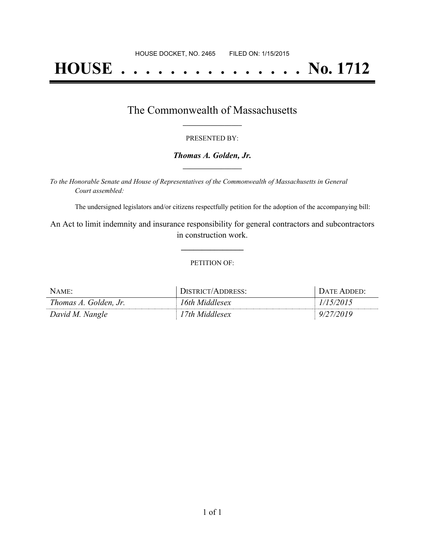# **HOUSE . . . . . . . . . . . . . . . No. 1712**

## The Commonwealth of Massachusetts **\_\_\_\_\_\_\_\_\_\_\_\_\_\_\_\_\_**

#### PRESENTED BY:

#### *Thomas A. Golden, Jr.* **\_\_\_\_\_\_\_\_\_\_\_\_\_\_\_\_\_**

*To the Honorable Senate and House of Representatives of the Commonwealth of Massachusetts in General Court assembled:*

The undersigned legislators and/or citizens respectfully petition for the adoption of the accompanying bill:

An Act to limit indemnity and insurance responsibility for general contractors and subcontractors in construction work.

**\_\_\_\_\_\_\_\_\_\_\_\_\_\_\_**

#### PETITION OF:

| NAME:                 | DISTRICT/ADDRESS: | DATE ADDED: |
|-----------------------|-------------------|-------------|
| Thomas A. Golden, Jr. | 16th Middlesex    | 1/15/2015   |
| David M. Nangle       | l 7th Middlesex   | 9/27/2019   |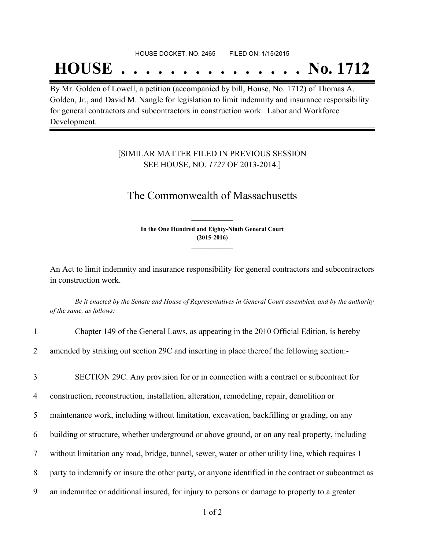#### HOUSE DOCKET, NO. 2465 FILED ON: 1/15/2015

## **HOUSE . . . . . . . . . . . . . . . No. 1712**

By Mr. Golden of Lowell, a petition (accompanied by bill, House, No. 1712) of Thomas A. Golden, Jr., and David M. Nangle for legislation to limit indemnity and insurance responsibility for general contractors and subcontractors in construction work. Labor and Workforce Development.

### [SIMILAR MATTER FILED IN PREVIOUS SESSION SEE HOUSE, NO. *1727* OF 2013-2014.]

## The Commonwealth of Massachusetts

**In the One Hundred and Eighty-Ninth General Court (2015-2016) \_\_\_\_\_\_\_\_\_\_\_\_\_\_\_**

**\_\_\_\_\_\_\_\_\_\_\_\_\_\_\_**

An Act to limit indemnity and insurance responsibility for general contractors and subcontractors in construction work.

Be it enacted by the Senate and House of Representatives in General Court assembled, and by the authority *of the same, as follows:*

| $\mathbf{1}$   | Chapter 149 of the General Laws, as appearing in the 2010 Official Edition, is hereby                |
|----------------|------------------------------------------------------------------------------------------------------|
| $\overline{2}$ | amended by striking out section 29C and inserting in place thereof the following section:-           |
| $\overline{3}$ | SECTION 29C. Any provision for or in connection with a contract or subcontract for                   |
| 4              | construction, reconstruction, installation, alteration, remodeling, repair, demolition or            |
| 5 <sup>5</sup> | maintenance work, including without limitation, excavation, backfilling or grading, on any           |
| 6              | building or structure, whether underground or above ground, or on any real property, including       |
| $\tau$         | without limitation any road, bridge, tunnel, sewer, water or other utility line, which requires 1    |
| 8              | party to indemnify or insure the other party, or anyone identified in the contract or subcontract as |
| 9              | an indemnitee or additional insured, for injury to persons or damage to property to a greater        |